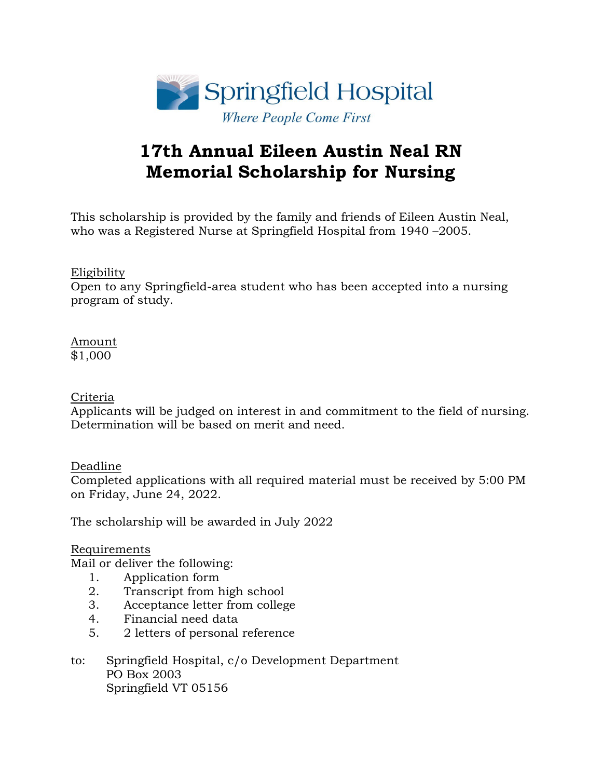

# **17th Annual Eileen Austin Neal RN Memorial Scholarship for Nursing**

This scholarship is provided by the family and friends of Eileen Austin Neal, who was a Registered Nurse at Springfield Hospital from 1940 –2005.

### Eligibility

Open to any Springfield-area student who has been accepted into a nursing program of study.

#### Amount \$1,000

### Criteria

Applicants will be judged on interest in and commitment to the field of nursing. Determination will be based on merit and need.

### Deadline

Completed applications with all required material must be received by 5:00 PM on Friday, June 24, 2022.

The scholarship will be awarded in July 2022

### Requirements

Mail or deliver the following:

- 1. Application form
- 2. Transcript from high school
- 3. Acceptance letter from college
- 4. Financial need data
- 5. 2 letters of personal reference
- to: Springfield Hospital, c/o Development Department PO Box 2003 Springfield VT 05156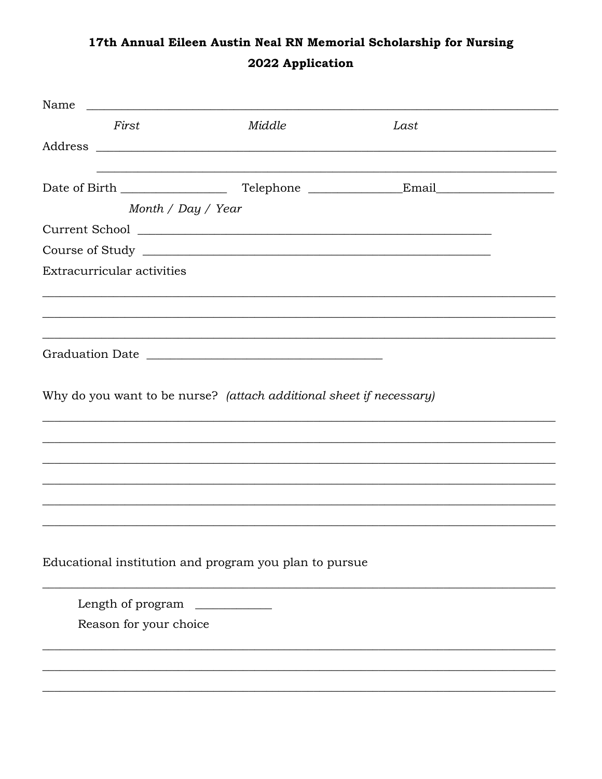## 17th Annual Eileen Austin Neal RN Memorial Scholarship for Nursing 2022 Application

| Name<br><u> 1980 - Johann Barn, mars ann an t-Amhain an t-Amhain an t-Amhain an t-Amhain an t-Amhain an t-Amhain an t-Amh</u> |                                                                                           |      |  |
|-------------------------------------------------------------------------------------------------------------------------------|-------------------------------------------------------------------------------------------|------|--|
| First                                                                                                                         | Middle                                                                                    | Last |  |
|                                                                                                                               |                                                                                           |      |  |
|                                                                                                                               | the control of the control of the control of the control of the control of the control of |      |  |
|                                                                                                                               |                                                                                           |      |  |
| Month / Day / Year                                                                                                            |                                                                                           |      |  |
|                                                                                                                               |                                                                                           |      |  |
|                                                                                                                               |                                                                                           |      |  |
| Extracurricular activities                                                                                                    |                                                                                           |      |  |
|                                                                                                                               | ,我们也不能在这里的人,我们也不能在这里的人,我们也不能在这里的人,我们也不能在这里的人,我们也不能在这里的人,我们也不能在这里的人,我们也不能在这里的人,我们也         |      |  |
|                                                                                                                               |                                                                                           |      |  |
|                                                                                                                               |                                                                                           |      |  |
|                                                                                                                               |                                                                                           |      |  |
|                                                                                                                               | Why do you want to be nurse? (attach additional sheet if necessary)                       |      |  |
|                                                                                                                               |                                                                                           |      |  |
|                                                                                                                               |                                                                                           |      |  |
|                                                                                                                               |                                                                                           |      |  |
|                                                                                                                               |                                                                                           |      |  |
|                                                                                                                               |                                                                                           |      |  |
|                                                                                                                               |                                                                                           |      |  |
|                                                                                                                               |                                                                                           |      |  |
|                                                                                                                               | Educational institution and program you plan to pursue                                    |      |  |
|                                                                                                                               |                                                                                           |      |  |
| Length of program                                                                                                             |                                                                                           |      |  |
| Reason for your choice                                                                                                        |                                                                                           |      |  |
|                                                                                                                               |                                                                                           |      |  |
|                                                                                                                               |                                                                                           |      |  |
|                                                                                                                               |                                                                                           |      |  |
|                                                                                                                               |                                                                                           |      |  |
|                                                                                                                               |                                                                                           |      |  |